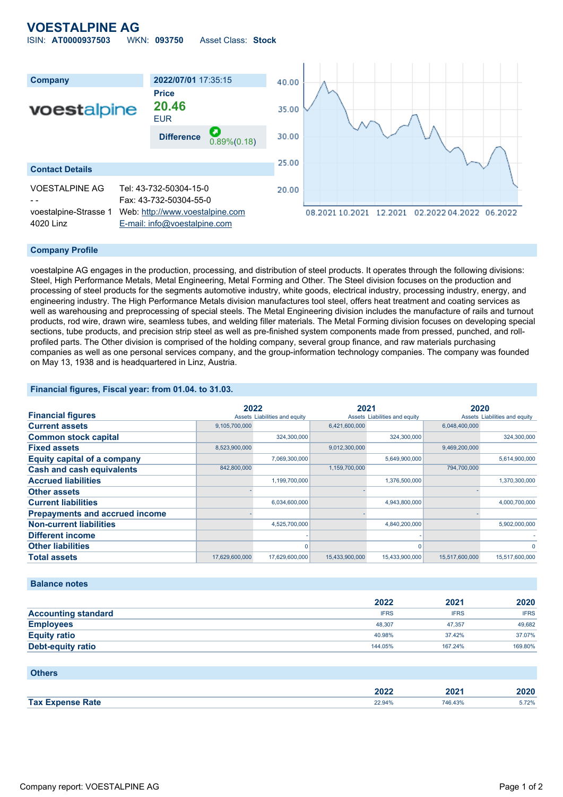# **VOESTALPINE AG**

ISIN: **AT0000937503** WKN: **093750** Asset Class: **Stock**



#### **Company Profile**

voestalpine AG engages in the production, processing, and distribution of steel products. It operates through the following divisions: Steel, High Performance Metals, Metal Engineering, Metal Forming and Other. The Steel division focuses on the production and processing of steel products for the segments automotive industry, white goods, electrical industry, processing industry, energy, and engineering industry. The High Performance Metals division manufactures tool steel, offers heat treatment and coating services as well as warehousing and preprocessing of special steels. The Metal Engineering division includes the manufacture of rails and turnout products, rod wire, drawn wire, seamless tubes, and welding filler materials. The Metal Forming division focuses on developing special sections, tube products, and precision strip steel as well as pre-finished system components made from pressed, punched, and rollprofiled parts. The Other division is comprised of the holding company, several group finance, and raw materials purchasing companies as well as one personal services company, and the group-information technology companies. The company was founded on May 13, 1938 and is headquartered in Linz, Austria.

#### **Financial figures, Fiscal year: from 01.04. to 31.03.**

|                                       | 2022           |                               | 2021           |                               | 2020           |                               |
|---------------------------------------|----------------|-------------------------------|----------------|-------------------------------|----------------|-------------------------------|
| <b>Financial figures</b>              |                | Assets Liabilities and equity |                | Assets Liabilities and equity |                | Assets Liabilities and equity |
| <b>Current assets</b>                 | 9,105,700,000  |                               | 6,421,600,000  |                               | 6,048,400,000  |                               |
| <b>Common stock capital</b>           |                | 324,300,000                   |                | 324,300,000                   |                | 324,300,000                   |
| <b>Fixed assets</b>                   | 8,523,900,000  |                               | 9,012,300,000  |                               | 9,469,200,000  |                               |
| <b>Equity capital of a company</b>    |                | 7,069,300,000                 |                | 5,649,900,000                 |                | 5,614,900,000                 |
| <b>Cash and cash equivalents</b>      | 842,800,000    |                               | 1,159,700,000  |                               | 794,700,000    |                               |
| <b>Accrued liabilities</b>            |                | 1,199,700,000                 |                | 1,376,500,000                 |                | 1,370,300,000                 |
| <b>Other assets</b>                   |                |                               |                |                               |                |                               |
| <b>Current liabilities</b>            |                | 6,034,600,000                 |                | 4,943,800,000                 |                | 4,000,700,000                 |
| <b>Prepayments and accrued income</b> |                |                               |                |                               |                |                               |
| <b>Non-current liabilities</b>        |                | 4,525,700,000                 |                | 4,840,200,000                 |                | 5,902,000,000                 |
| Different income                      |                |                               |                |                               |                |                               |
| <b>Other liabilities</b>              |                |                               |                |                               |                | 0                             |
| <b>Total assets</b>                   | 17,629,600,000 | 17,629,600,000                | 15,433,900,000 | 15,433,900,000                | 15,517,600,000 | 15,517,600,000                |

#### **Balance notes**

|                            | 2022        | 2021        | 2020        |
|----------------------------|-------------|-------------|-------------|
| <b>Accounting standard</b> | <b>IFRS</b> | <b>IFRS</b> | <b>IFRS</b> |
| <b>Employees</b>           | 48.307      | 47.357      | 49,682      |
| <b>Equity ratio</b>        | 40.98%      | 37.42%      | 37.07%      |
| <b>Debt-equity ratio</b>   | 144.05%     | 167.24%     | 169.80%     |

| <b>Others</b>           |        |         |       |
|-------------------------|--------|---------|-------|
|                         | 2022   | 2021    | 2020  |
| <b>Tax Expense Rate</b> | 22.94% | 746.43% | 5.72% |